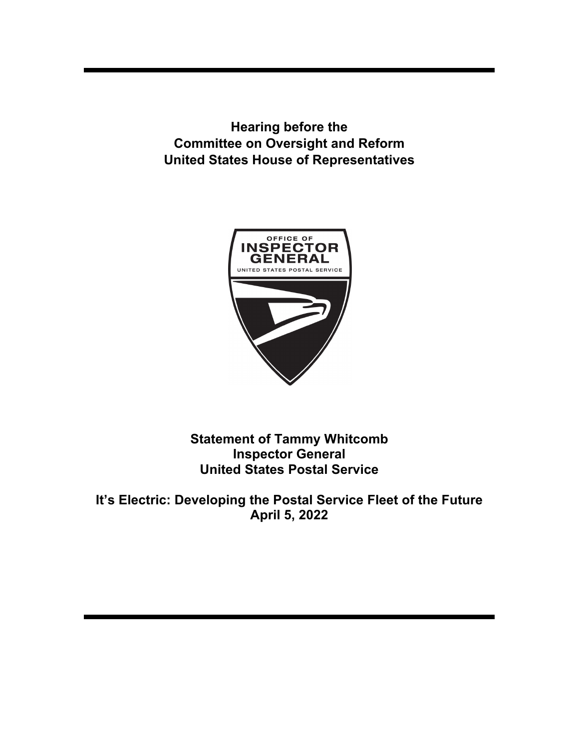**Hearing before the Committee on Oversight and Reform United States House of Representatives** 



**Statement of Tammy Whitcomb Inspector General United States Postal Service** 

**It's Electric: Developing the Postal Service Fleet of the Future April 5, 2022**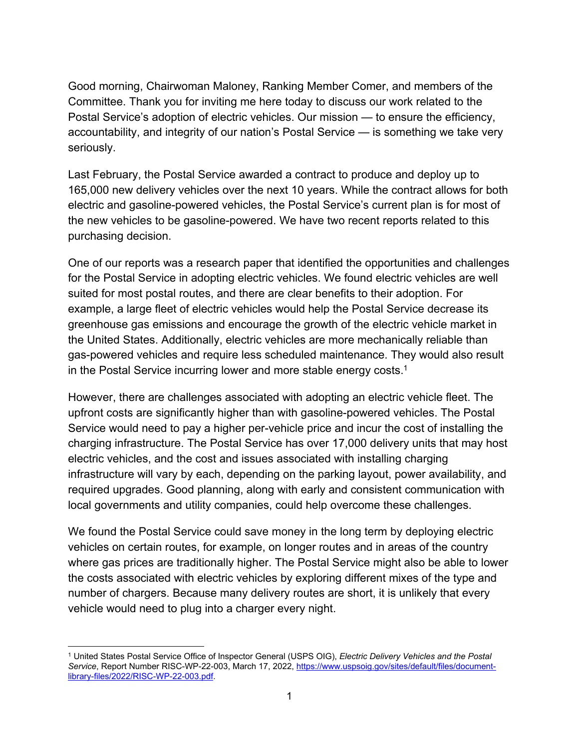Good morning, Chairwoman Maloney, Ranking Member Comer, and members of the Committee. Thank you for inviting me here today to discuss our work related to the Postal Service's adoption of electric vehicles. Our mission — to ensure the efficiency, accountability, and integrity of our nation's Postal Service — is something we take very seriously.

Last February, the Postal Service awarded a contract to produce and deploy up to 165,000 new delivery vehicles over the next 10 years. While the contract allows for both electric and gasoline-powered vehicles, the Postal Service's current plan is for most of the new vehicles to be gasoline-powered. We have two recent reports related to this purchasing decision.

One of our reports was a research paper that identified the opportunities and challenges for the Postal Service in adopting electric vehicles. We found electric vehicles are well suited for most postal routes, and there are clear benefits to their adoption. For example, a large fleet of electric vehicles would help the Postal Service decrease its greenhouse gas emissions and encourage the growth of the electric vehicle market in the United States. Additionally, electric vehicles are more mechanically reliable than gas-powered vehicles and require less scheduled maintenance. They would also result in the Postal Service incurring lower and more stable energy costs.<sup>1</sup>

However, there are challenges associated with adopting an electric vehicle fleet. The upfront costs are significantly higher than with gasoline-powered vehicles. The Postal Service would need to pay a higher per-vehicle price and incur the cost of installing the charging infrastructure. The Postal Service has over 17,000 delivery units that may host electric vehicles, and the cost and issues associated with installing charging infrastructure will vary by each, depending on the parking layout, power availability, and required upgrades. Good planning, along with early and consistent communication with local governments and utility companies, could help overcome these challenges.

We found the Postal Service could save money in the long term by deploying electric vehicles on certain routes, for example, on longer routes and in areas of the country where gas prices are traditionally higher. The Postal Service might also be able to lower the costs associated with electric vehicles by exploring different mixes of the type and number of chargers. Because many delivery routes are short, it is unlikely that every vehicle would need to plug into a charger every night.

<sup>1</sup> United States Postal Service Office of Inspector General (USPS OIG), *Electric Delivery Vehicles and the Postal*  Service, Report Number RISC-WP-22-003, March 17, 2022, https://www.uspsoig.gov/sites/default/files/documentlibrary-files/2022/RISC-WP-22-003.pdf.